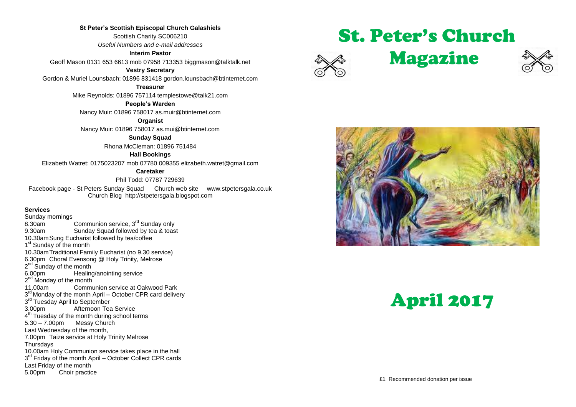#### **St Peter's Scottish Episcopal Church Galashiels**

Scottish Charity SC006210 *Useful Numbers and e-mail addresses*

#### **Interim Pastor**

Geoff Mason 0131 653 6613 mob 07958 713353 biggmason@talktalk.net

#### **Vestry Secretary**

Gordon & Muriel Lounsbach: 01896 831418 gordon.lounsbach@btinternet.com

**Treasurer**

Mike Reynolds: 01896 757114 templestowe@talk21.com

#### **People's Warden**

Nancy Muir: 01896 758017 as.muir@btinternet.com

**Organist**

Nancy Muir: 01896 758017 as.mui@btinternet.com

#### **Sunday Squad**

Rhona McCleman: 01896 751484

#### **Hall Bookings**

Elizabeth Watret: 0175023207 mob 07780 009355 elizabeth.watret@gmail.com

#### **Caretaker**

Phil Todd: 07787 729639

Facebook page - St Peters Sunday Squad Church web site www.stpetersgala.co.uk Church Blog [http://stpetersgala.blogspot.com](http://stpetersgala.blogspot.com/)

#### **Services**

Sunday mornings<br>8.30am Communion service, 3<sup>rd</sup> Sunday only 9.30am Sunday Squad followed by tea & toast 10.30amSung Eucharist followed by tea/coffee 1<sup>st</sup> Sunday of the month 10.30amTraditional Family Eucharist (no 9.30 service) 6.30pm Choral Evensong @ Holy Trinity, Melrose 2<sup>nd</sup> Sunday of the month 6.00pm Healing/anointing service 2<sup>nd</sup> Monday of the month 11.00am Communion service at Oakwood Park 3<sup>rd</sup> Monday of the month April – October CPR card delivery 3<sup>rd</sup> Tuesday April to September 3.00pm Afternoon Tea Service  $4<sup>th</sup>$  Tuesday of the month during school terms 5.30 – 7.00pm Messy Church Last Wednesday of the month, 7.00pm Taize service at Holy Trinity Melrose **Thursdays** 10.00am Holy Communion service takes place in the hall 3<sup>rd</sup> Friday of the month April - October Collect CPR cards Last Friday of the month 5.00pm Choir practice

# St. Peter's Church









# April 2017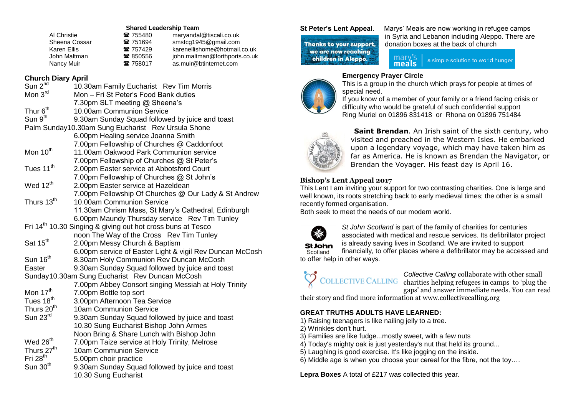#### **Shared Leadership Team**

| 雷 755480 | maryandal@tiscali.co.uk       |
|----------|-------------------------------|
| 雷 751694 | smstcg1945@gmail.com          |
| 雷 757429 | karenellishome@hotmail.co.uk  |
| 雷 850556 | john.maltman@forthports.co.uk |
| 雷 758017 | as.muir@btinternet.com        |
|          |                               |

# **Church Diary April**

| Sun 2 <sup>nd</sup>                                  | 10.30am Family Eucharist Rev Tim Morris                                 |  |
|------------------------------------------------------|-------------------------------------------------------------------------|--|
| Mon 3 <sup>rd</sup>                                  | Mon - Fri St Peter's Food Bank duties                                   |  |
|                                                      | 7.30pm SLT meeting @ Sheena's                                           |  |
| Thur 6 <sup>th</sup>                                 | 10.00am Communion Service                                               |  |
| Sun 9 <sup>th</sup>                                  |                                                                         |  |
|                                                      | 9.30am Sunday Squad followed by juice and toast                         |  |
| Palm Sunday10.30am Sung Eucharist Rev Ursula Shone   |                                                                         |  |
|                                                      | 6.00pm Healing service Joanna Smith                                     |  |
|                                                      | 7.00pm Fellowship of Churches @ Caddonfoot                              |  |
| Mon 10 <sup>th</sup>                                 | 11.00am Oakwood Park Communion service                                  |  |
|                                                      | 7.00pm Fellowship of Churches @ St Peter's                              |  |
| Tues 11 <sup>th</sup>                                | 2.00pm Easter service at Abbotsford Court                               |  |
|                                                      | 7.00pm Fellowship of Churches @ St John's                               |  |
| Wed 12 <sup>th</sup>                                 | 2.00pm Easter service at Hazeldean                                      |  |
|                                                      | 7.00pm Fellowship Of Churches @ Our Lady & St Andrew                    |  |
| Thurs 13 <sup>th</sup>                               | 10.00am Communion Service                                               |  |
|                                                      | 11.30am Chrism Mass, St Mary's Cathedral, Edinburgh                     |  |
|                                                      | 6.00pm Maundy Thursday service Rev Tim Tunley                           |  |
|                                                      | Fri 14 <sup>th</sup> 10.30 Singing & giving out hot cross buns at Tesco |  |
|                                                      | noon The Way of the Cross Rev Tim Tunley                                |  |
| Sat 15 <sup>th</sup>                                 | 2.00pm Messy Church & Baptism                                           |  |
|                                                      | 6.00pm service of Easter Light & vigil Rev Duncan McCosh                |  |
| Sun 16 <sup>th</sup>                                 | 8.30am Holy Communion Rev Duncan McCosh                                 |  |
| Easter                                               | 9.30am Sunday Squad followed by juice and toast                         |  |
|                                                      | Sunday10.30am Sung Eucharist Rev Duncan McCosh                          |  |
| 7.00pm Abbey Consort singing Messiah at Holy Trinity |                                                                         |  |
| Mon 17 <sup>th</sup>                                 | 7.00pm Bottle top sort                                                  |  |
| Tues 18 <sup>th</sup>                                | 3.00pm Afternoon Tea Service                                            |  |
| Thurs 20 <sup>th</sup>                               | 10am Communion Service                                                  |  |
| Sun 23rd                                             | 9.30am Sunday Squad followed by juice and toast                         |  |
|                                                      | 10.30 Sung Eucharist Bishop John Armes                                  |  |
|                                                      | Noon Bring & Share Lunch with Bishop John                               |  |
| Wed 26 <sup>th</sup>                                 | 7.00pm Taize service at Holy Trinity, Melrose                           |  |
| Thurs 27 <sup>th</sup>                               | 10am Communion Service                                                  |  |
| Fri $28th$                                           | 5.00pm choir practice                                                   |  |
| Sun 30 <sup>th</sup>                                 | 9.30am Sunday Squad followed by juice and toast                         |  |
|                                                      |                                                                         |  |
|                                                      | 10.30 Sung Eucharist                                                    |  |

## Thanks to your support. we are now reaching children in Aleppo.

**St Peter's Lent Appeal**. Marys' Meals are now working in refugee camps in Syria and Lebanon including Aleppo. There are donation boxes at the back of church

> mary a simple solution to world hunger meals

# **Emergency Prayer Circle**



This is a group in the church which prays for people at times of special need.

If you know of a member of your family or a friend facing crisis or difficulty who would be grateful of such confidential support Ring Muriel on 01896 831418 or Rhona on 01896 751484



**Saint Brendan.** An Irish saint of the sixth century, who visited and preached in the Western Isles. He embarked upon a legendary voyage, which may have taken him as far as America. He is known as Brendan the Navigator, or Brendan the Voyager. His feast day is April 16.

## **Bishop's Lent Appeal 2017**

This Lent I am inviting your support for two contrasting charities. One is large and well known, its roots stretching back to early medieval times; the other is a small recently formed organisation.

Both seek to meet the needs of our modern world.



*St John Scotland* is part of the family of charities for centuries associated with medical and rescue services. Its defibrillator project is already saving lives in Scotland. We are invited to support

St John Scotland financially, to offer places where a defibrillator may be accessed and to offer help in other ways.

*Collective Calling* collaborate with other small COLLECTIVE CALLING charities helping refugees in camps to 'plug the gaps' and answer immediate needs. You can read

their story and find more information at www.collectivecalling.org

### **GREAT TRUTHS ADULTS HAVE LEARNED:**

- 1) Raising teenagers is like nailing jelly to a tree.
- 2) Wrinkles don't hurt.
- 3) Families are like fudge...mostly sweet, with a few nuts
- 4) Today's mighty oak is just yesterday's nut that held its ground...
- 5) Laughing is good exercise. It's like jogging on the inside.
- 6) Middle age is when you choose your cereal for the fibre, not the toy….

**Lepra Boxes** A total of £217 was collected this year.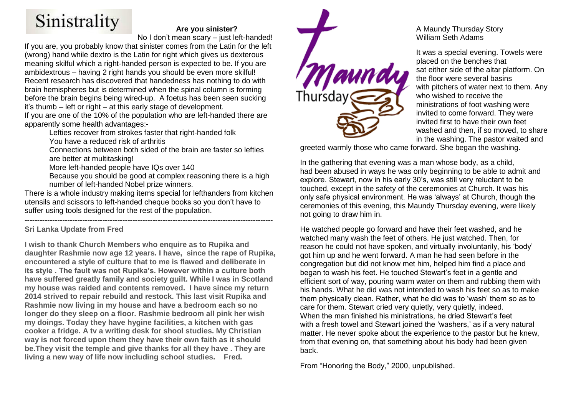# Sinistrality

# **Are you sinister?**

No I don't mean scary – just left-handed!

If you are, you probably know that sinister comes from the Latin for the left (wrong) hand while dextro is the Latin for right which gives us dexterous meaning skilful which a right-handed person is expected to be. If you are ambidextrous – having 2 right hands you should be even more skilful! Recent research has discovered that handedness has nothing to do with brain hemispheres but is determined when the spinal column is forming before the brain begins being wired-up. A foetus has been seen sucking it's thumb – left or right – at this early stage of development.

If you are one of the 10% of the population who are left-handed there are apparently some health advantages:-

Lefties recover from strokes faster that right-handed folk

You have a reduced risk of arthritis

Connections between both sided of the brain are faster so lefties are better at multitasking!

More left-handed people have IQs over 140

Because you should be good at complex reasoning there is a high number of left-handed Nobel prize winners.

There is a whole industry making items special for lefthanders from kitchen utensils and scissors to left-handed cheque books so you don't have to suffer using tools designed for the rest of the population.

#### --------------------------------------------------------------------------------------------------- **Sri Lanka Update from Fred**

**I wish to thank Church Members who enquire as to Rupika and daughter Rashmie now age 12 years. I have, since the rape of Rupika, encountered a style of culture that to me is flawed and deliberate in its style . The fault was not Rupika's. However within a culture both have suffered greatly family and society guilt. While I was in Scotland my house was raided and contents removed. I have since my return 2014 strived to repair rebuild and restock. This last visit Rupika and Rashmie now living in my house and have a bedroom each so no longer do they sleep on a floor. Rashmie bedroom all pink her wish my doings. Today they have hygine facilities, a kitchen with gas cooker a fridge. A tv a writing desk for shool studies. My Christian way is not forced upon them they have their own faith as it should be.They visit the temple and give thanks for all they have . They are living a new way of life now including school studies. Fred.**



## A Maundy Thursday Story William Seth Adams

It was a special evening. Towels were placed on the benches that sat either side of the altar platform. On the floor were several basins with pitchers of water next to them. Any who wished to receive the ministrations of foot washing were invited to come forward. They were invited first to have their own feet washed and then, if so moved, to share in the washing. The pastor waited and

greeted warmly those who came forward. She began the washing.

In the gathering that evening was a man whose body, as a child, had been abused in ways he was only beginning to be able to admit and explore. Stewart, now in his early 30's, was still very reluctant to be touched, except in the safety of the ceremonies at Church. It was his only safe physical environment. He was 'always' at Church, though the ceremonies of this evening, this Maundy Thursday evening, were likely not going to draw him in.

He watched people go forward and have their feet washed, and he watched many wash the feet of others. He just watched. Then, for reason he could not have spoken, and virtually involuntarily, his 'body' got him up and he went forward. A man he had seen before in the congregation but did not know met him, helped him find a place and began to wash his feet. He touched Stewart's feet in a gentle and efficient sort of way, pouring warm water on them and rubbing them with his hands. What he did was not intended to wash his feet so as to make them physically clean. Rather, what he did was to 'wash' them so as to care for them. Stewart cried very quietly, very quietly, indeed. When the man finished his ministrations, he dried Stewart's feet with a fresh towel and Stewart joined the 'washers,' as if a very natural matter. He never spoke about the experience to the pastor but he knew, from that evening on, that something about his body had been given back.

From "Honoring the Body," 2000, unpublished.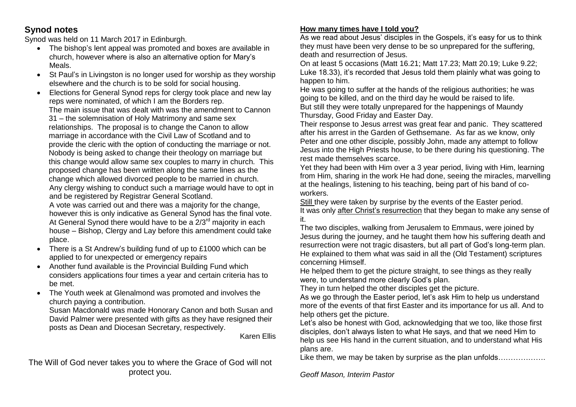# **Synod notes**

Synod was held on 11 March 2017 in Edinburgh.

- The bishop's lent appeal was promoted and boxes are available in church, however where is also an alternative option for Mary's Meals.
- St Paul's in Livingston is no longer used for worship as they worship elsewhere and the church is to be sold for social housing.
- Elections for General Synod reps for clergy took place and new lay reps were nominated, of which I am the Borders rep. The main issue that was dealt with was the amendment to Cannon 31 – the solemnisation of Holy Matrimony and same sex relationships. The proposal is to change the Canon to allow marriage in accordance with the Civil Law of Scotland and to provide the cleric with the option of conducting the marriage or not. Nobody is being asked to change their theology on marriage but this change would allow same sex couples to marry in church. This proposed change has been written along the same lines as the change which allowed divorced people to be married in church. Any clergy wishing to conduct such a marriage would have to opt in and be registered by Registrar General Scotland.

A vote was carried out and there was a majority for the change, however this is only indicative as General Synod has the final vote. At General Synod there would have to be a  $2/3^{rd}$  majority in each house – Bishop, Clergy and Lay before this amendment could take place.

- There is a St Andrew's building fund of up to £1000 which can be applied to for unexpected or emergency repairs
- Another fund available is the Provincial Building Fund which considers applications four times a year and certain criteria has to be met.
- The Youth week at Glenalmond was promoted and involves the church paying a contribution.

Susan Macdonald was made Honorary Canon and both Susan and David Palmer were presented with gifts as they have resigned their posts as Dean and Diocesan Secretary, respectively.

Karen Ellis

The Will of God never takes you to where the Grace of God will not protect you.

# **How many times have I told you?**

As we read about Jesus' disciples in the Gospels, it's easy for us to think they must have been very dense to be so unprepared for the suffering, death and resurrection of Jesus.

On at least 5 occasions (Matt 16.21; Matt 17.23; Matt 20.19; Luke 9.22; Luke 18.33), it's recorded that Jesus told them plainly what was going to happen to him.

He was going to suffer at the hands of the religious authorities; he was going to be killed, and on the third day he would be raised to life. But still they were totally unprepared for the happenings of Maundy Thursday, Good Friday and Easter Day.

Their response to Jesus arrest was great fear and panic. They scattered after his arrest in the Garden of Gethsemane. As far as we know, only Peter and one other disciple, possibly John, made any attempt to follow Jesus into the High Priests house, to be there during his questioning. The rest made themselves scarce.

Yet they had been with Him over a 3 year period, living with Him, learning from Him, sharing in the work He had done, seeing the miracles, marvelling at the healings, listening to his teaching, being part of his band of coworkers.

Still they were taken by surprise by the events of the Easter period. It was only after Christ's resurrection that they began to make any sense of it.

The two disciples, walking from Jerusalem to Emmaus, were joined by Jesus during the journey, and he taught them how his suffering death and resurrection were not tragic disasters, but all part of God's long-term plan. He explained to them what was said in all the (Old Testament) scriptures concerning Himself.

He helped them to get the picture straight, to see things as they really were, to understand more clearly God's plan.

They in turn helped the other disciples get the picture.

As we go through the Easter period, let's ask Him to help us understand more of the events of that first Easter and its importance for us all. And to help others get the picture.

Let's also be honest with God, acknowledging that we too, like those first disciples, don't always listen to what He says, and that we need Him to help us see His hand in the current situation, and to understand what His plans are.

Like them, we may be taken by surprise as the plan unfolds………………

*Geoff Mason, Interim Pastor*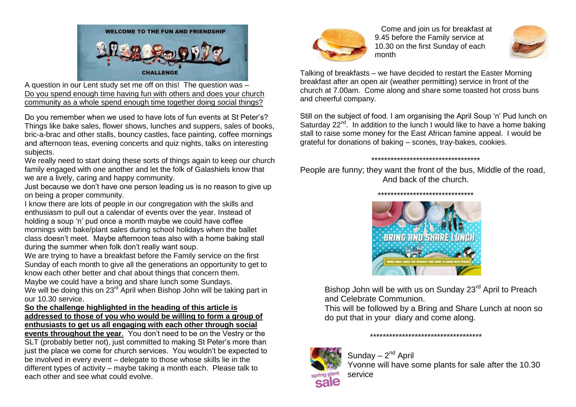

A question in our Lent study set me off on this! The question was – Do you spend enough time having fun with others and does your church community as a whole spend enough time together doing social things?

Do you remember when we used to have lots of fun events at St Peter's? Things like bake sales, flower shows, lunches and suppers, sales of books, bric-a-brac and other stalls, bouncy castles, face painting, coffee mornings and afternoon teas, evening concerts and quiz nights, talks on interesting subjects.

We really need to start doing these sorts of things again to keep our church family engaged with one another and let the folk of Galashiels know that we are a lively, caring and happy community.

Just because we don't have one person leading us is no reason to give up on being a proper community.

I know there are lots of people in our congregation with the skills and enthusiasm to pull out a calendar of events over the year. Instead of holding a soup 'n' pud once a month maybe we could have coffee mornings with bake/plant sales during school holidays when the ballet class doesn't meet. Maybe afternoon teas also with a home baking stall during the summer when folk don't really want soup.

We are trying to have a breakfast before the Family service on the first Sunday of each month to give all the generations an opportunity to get to know each other better and chat about things that concern them.

Maybe we could have a bring and share lunch some Sundays. We will be doing this on 23<sup>rd</sup> April when Bishop John will be taking part in

our 10.30 service.

### **So the challenge highlighted in the heading of this article is addressed to those of you who would be willing to form a group of enthusiasts to get us all engaging with each other through social**

**events throughout the year**. You don't need to be on the Vestry or the SLT (probably better not), just committed to making St Peter's more than just the place we come for church services. You wouldn't be expected to be involved in every event – delegate to those whose skills lie in the different types of activity – maybe taking a month each. Please talk to each other and see what could evolve.



 Come and join us for breakfast at 9.45 before the Family service at 10.30 on the first Sunday of each month



Talking of breakfasts – we have decided to restart the Easter Morning breakfast after an open air (weather permitting) service in front of the church at 7.00am. Come along and share some toasted hot cross buns and cheerful company.

Still on the subject of food. I am organising the April Soup 'n' Pud lunch on Saturday 22<sup>nd</sup>. In addition to the lunch I would like to have a home baking stall to raise some money for the East African famine appeal. I would be grateful for donations of baking – scones, tray-bakes, cookies.

\*\*\*\*\*\*\*\*\*\*\*\*\*\*\*\*\*\*\*\*\*\*\*\*\*\*\*\*\*\*\*\*\*\*

People are funny; they want the front of the bus, Middle of the road, And back of the church.



Bishop John will be with us on Sunday 23<sup>rd</sup> April to Preach and Celebrate Communion.

This will be followed by a Bring and Share Lunch at noon so do put that in your diary and come along.



\*\*\*\*\*\*\*\*\*\*\*\*\*\*\*\*\*\*\*\*\*\*\*\*\*\*\*\*\*\*\*\*\*\*\*

Sunday – 2<sup>nd</sup> April Yvonne will have some plants for sale after the 10.30 service